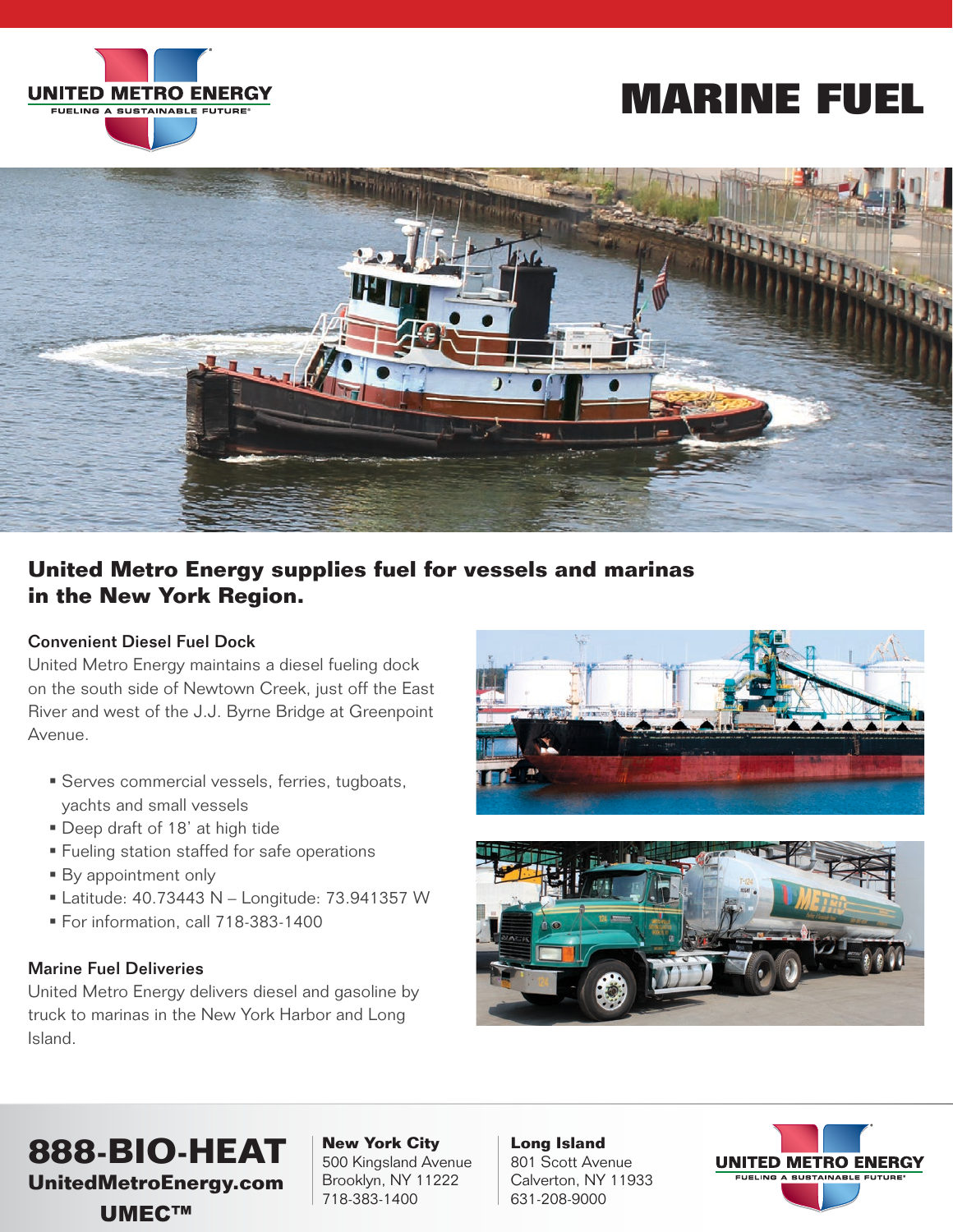

# **MARINE FUEL**



## **United Metro Energy supplies fuel for vessels and marinas in the New York Region.**

#### Convenient Diesel Fuel Dock

United Metro Energy maintains a diesel fueling dock on the south side of Newtown Creek, just off the East River and west of the J.J. Byrne Bridge at Greenpoint Avenue.

- Serves commercial vessels, ferries, tugboats, yachts and small vessels
- Deep draft of 18' at high tide
- **Fueling station staffed for safe operations**
- **By appointment only**
- Latitude: 40.73443 N Longitude: 73.941357 W
- For information, call 718-383-1400

### Marine Fuel Deliveries

United Metro Energy delivers diesel and gasoline by truck to marinas in the New York Harbor and Long Island.





# **888-BIO-HEAT**

**UnitedMetroEnergy.com** UMEC™

**New York City** 500 Kingsland Avenue Brooklyn, NY 11222 718-383-1400

**Long Island** 801 Scott Avenue Calverton, NY 11933 631-208-9000